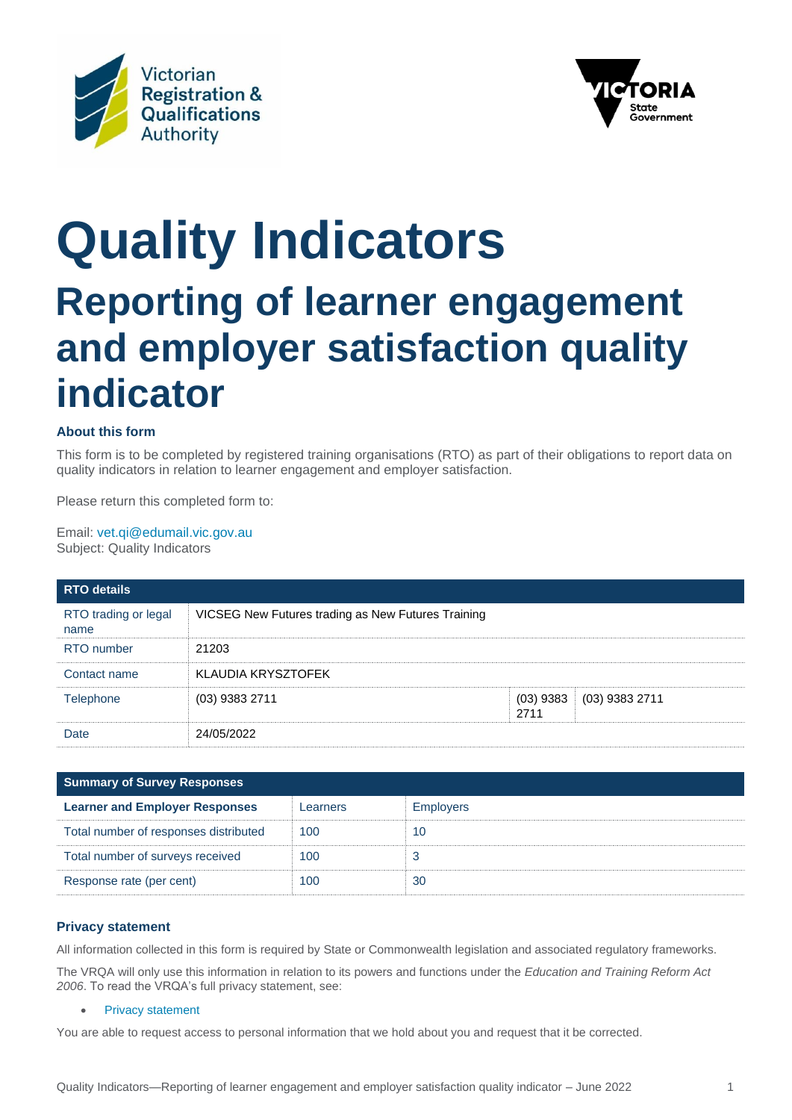



# **Quality Indicators Reporting of learner engagement and employer satisfaction quality indicator**

## **About this form**

This form is to be completed by registered training organisations (RTO) as part of their obligations to report data on quality indicators in relation to learner engagement and employer satisfaction.

Please return this completed form to:

Email: [vet.qi@edumail.vic.gov.au](mailto:vet.qi@edumail.vic.gov.au) Subject: Quality Indicators

| <b>RTO details</b>           |                                                    |                     |                |  |
|------------------------------|----------------------------------------------------|---------------------|----------------|--|
| RTO trading or legal<br>name | VICSEG New Futures trading as New Futures Training |                     |                |  |
| RTO number                   | 21203                                              |                     |                |  |
| Contact name                 | KLAUDIA KRYSZTOFEK                                 |                     |                |  |
| <b>Telephone</b>             | $(03)$ 9383 2711                                   | $(03)$ 9383<br>2711 | (03) 9383 2711 |  |
| Date                         | 24/05/2022                                         |                     |                |  |

| <b>Summary of Survey Responses</b>    |          |                  |  |  |  |
|---------------------------------------|----------|------------------|--|--|--|
| <b>Learner and Employer Responses</b> | Learners | <b>Employers</b> |  |  |  |
| Total number of responses distributed | 100      | 10               |  |  |  |
| Total number of surveys received      | 100      |                  |  |  |  |
| Response rate (per cent)              | 100      | 30               |  |  |  |

### **Privacy statement**

All information collected in this form is required by State or Commonwealth legislation and associated regulatory frameworks. The VRQA will only use this information in relation to its powers and functions under the *Education and Training Reform Act 2006*. To read the VRQA's full privacy statement, see:

### • [Privacy statement](https://www.vrqa.vic.gov.au/Pages/privacy.aspx)

You are able to request access to personal information that we hold about you and request that it be corrected.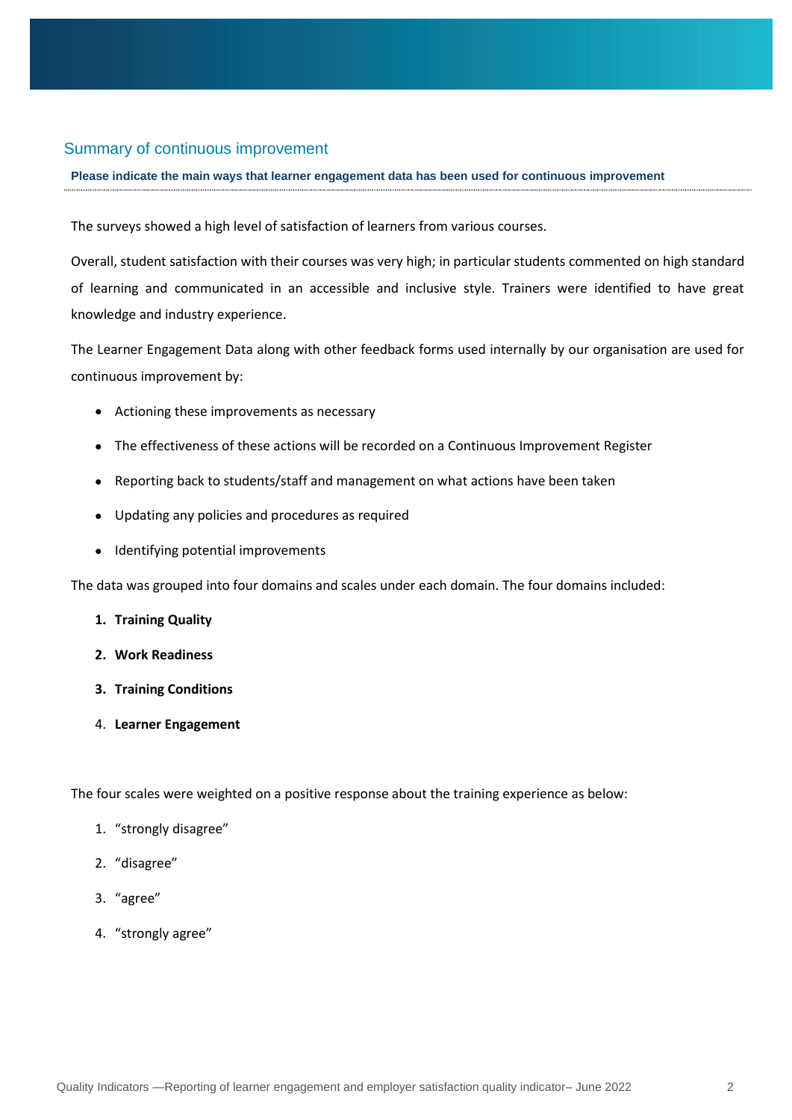## Summary of continuous improvement

### **Please indicate the main ways that learner engagement data has been used for continuous improvement**

The surveys showed a high level of satisfaction of learners from various courses.

Overall, student satisfaction with their courses was very high; in particular students commented on high standard of learning and communicated in an accessible and inclusive style. Trainers were identified to have great knowledge and industry experience.

The Learner Engagement Data along with other feedback forms used internally by our organisation are used for continuous improvement by:

- Actioning these improvements as necessary
- The effectiveness of these actions will be recorded on a Continuous Improvement Register
- Reporting back to students/staff and management on what actions have been taken
- Updating any policies and procedures as required
- Identifying potential improvements

The data was grouped into four domains and scales under each domain. The four domains included:

- **1. Training Quality**
- **2. Work Readiness**
- **3. Training Conditions**
- 4. **Learner Engagement**

The four scales were weighted on a positive response about the training experience as below:

- 1. "strongly disagree"
- 2. "disagree"
- 3. "agree"
- 4. "strongly agree"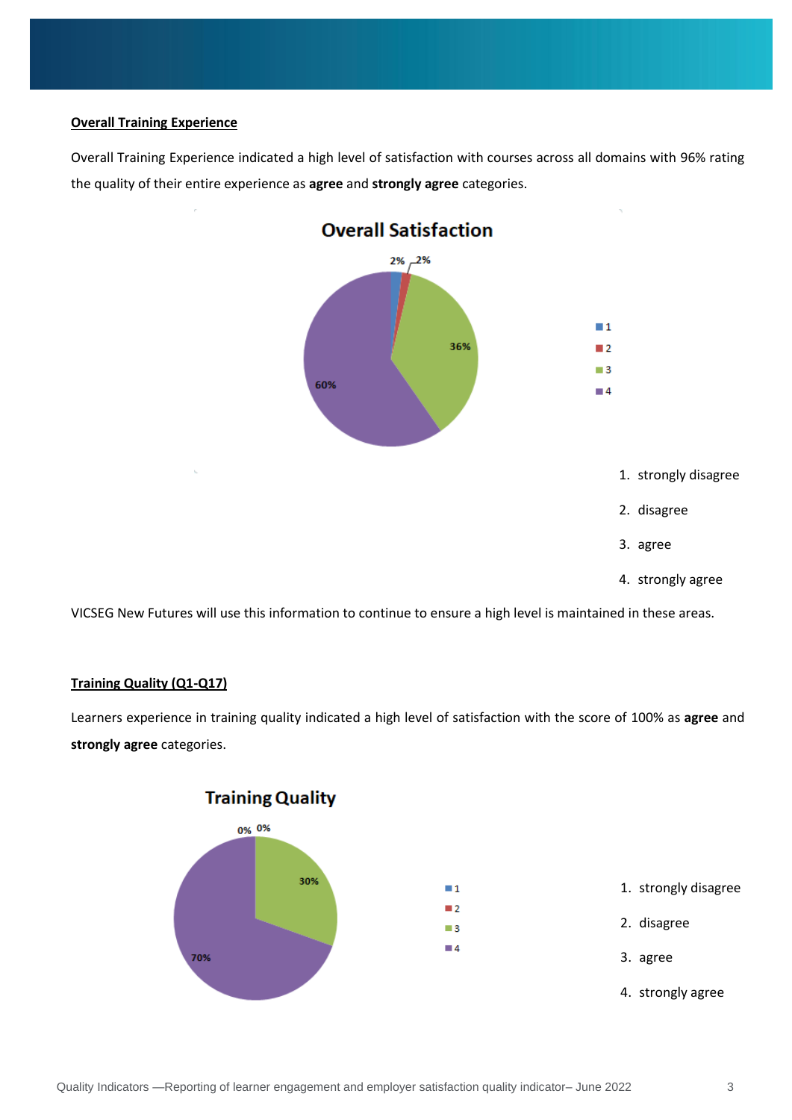## **Overall Training Experience**

Overall Training Experience indicated a high level of satisfaction with courses across all domains with 96% rating the quality of their entire experience as **agree** and **strongly agree** categories.



VICSEG New Futures will use this information to continue to ensure a high level is maintained in these areas.

## **Training Quality (Q1-Q17)**

Learners experience in training quality indicated a high level of satisfaction with the score of 100% as **agree** and **strongly agree** categories.

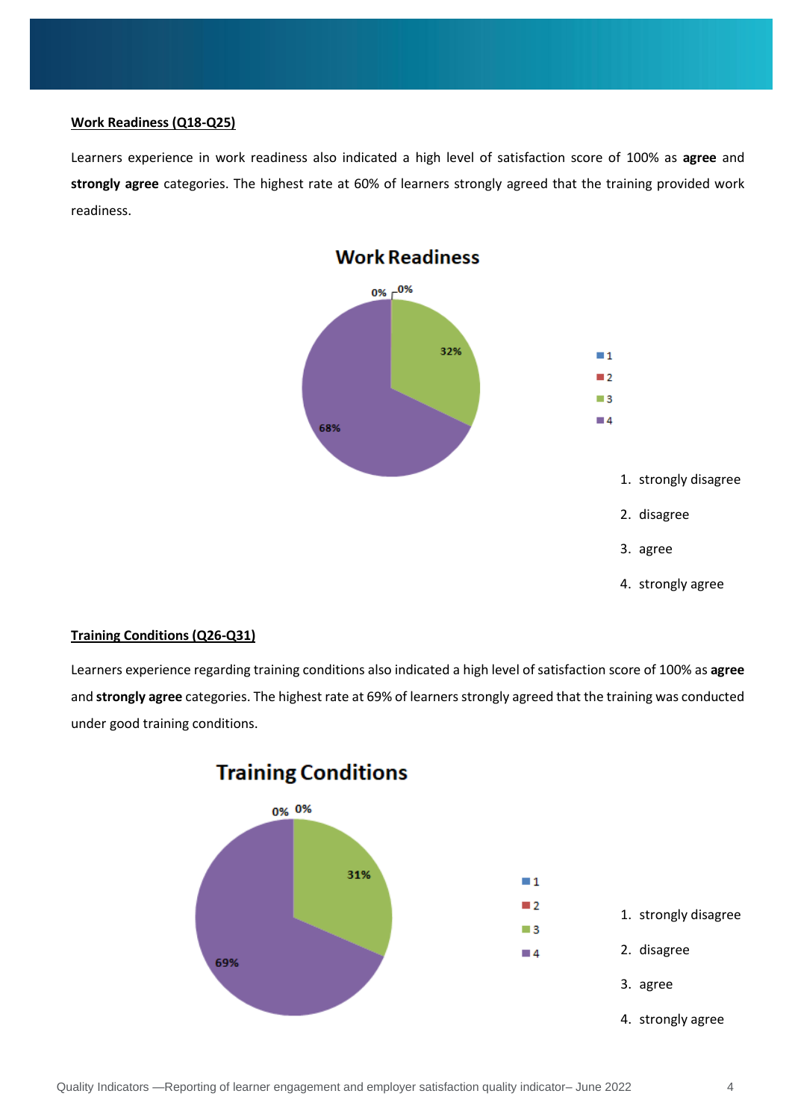## **Work Readiness (Q18-Q25)**

Learners experience in work readiness also indicated a high level of satisfaction score of 100% as **agree** and **strongly agree** categories. The highest rate at 60% of learners strongly agreed that the training provided work readiness.



## **Work Readiness**

## **Training Conditions (Q26-Q31)**

Learners experience regarding training conditions also indicated a high level of satisfaction score of 100% as **agree** and **strongly agree** categories. The highest rate at 69% of learners strongly agreed that the training was conducted under good training conditions.



## **Training Conditions**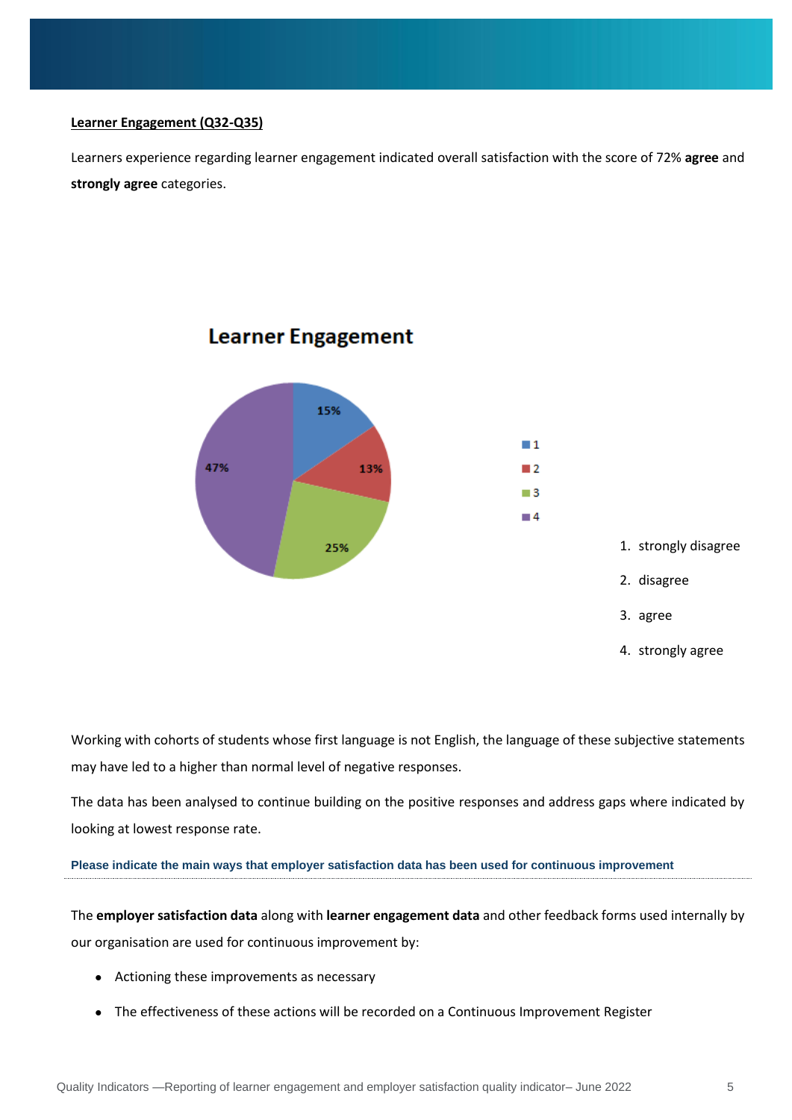## **Learner Engagement (Q32-Q35)**

Learners experience regarding learner engagement indicated overall satisfaction with the score of 72% **agree** and **strongly agree** categories.



## **Learner Engagement**

Working with cohorts of students whose first language is not English, the language of these subjective statements may have led to a higher than normal level of negative responses.

The data has been analysed to continue building on the positive responses and address gaps where indicated by looking at lowest response rate.

## **Please indicate the main ways that employer satisfaction data has been used for continuous improvement**

The **employer satisfaction data** along with **learner engagement data** and other feedback forms used internally by our organisation are used for continuous improvement by:

- Actioning these improvements as necessary
- The effectiveness of these actions will be recorded on a Continuous Improvement Register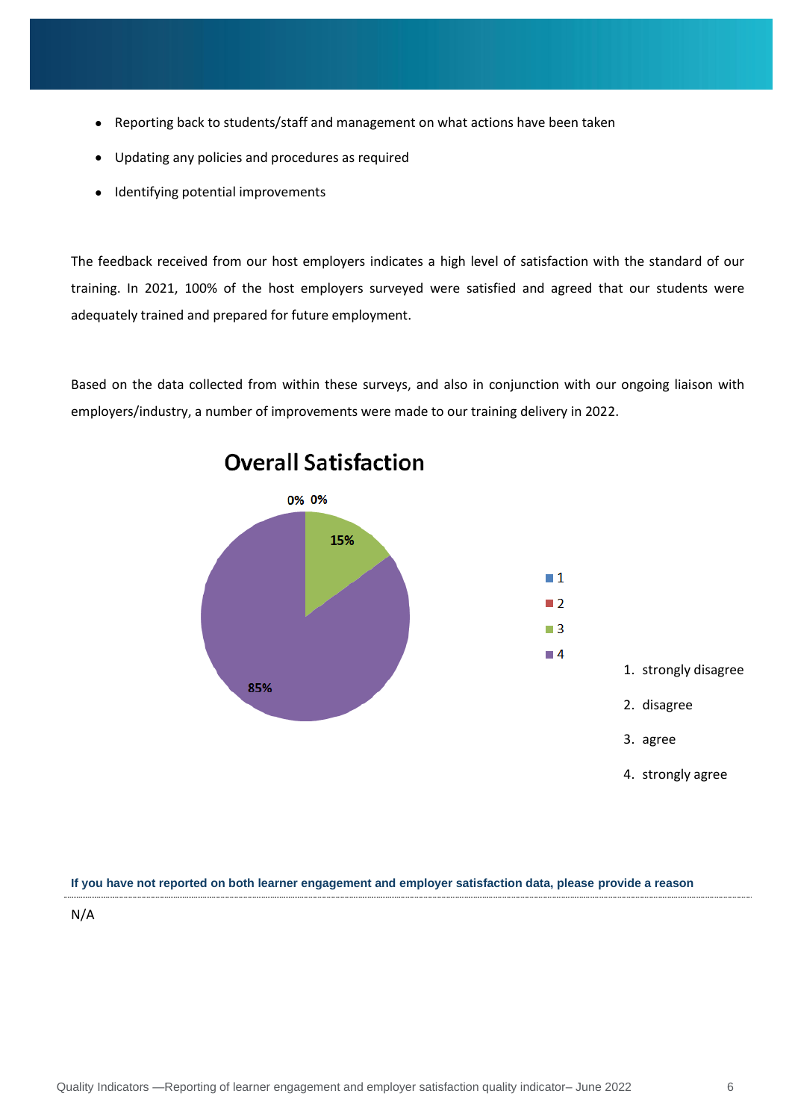- Reporting back to students/staff and management on what actions have been taken
- Updating any policies and procedures as required
- Identifying potential improvements

The feedback received from our host employers indicates a high level of satisfaction with the standard of our training. In 2021, 100% of the host employers surveyed were satisfied and agreed that our students were adequately trained and prepared for future employment.

Based on the data collected from within these surveys, and also in conjunction with our ongoing liaison with employers/industry, a number of improvements were made to our training delivery in 2022.



## **If you have not reported on both learner engagement and employer satisfaction data, please provide a reason**

N/A